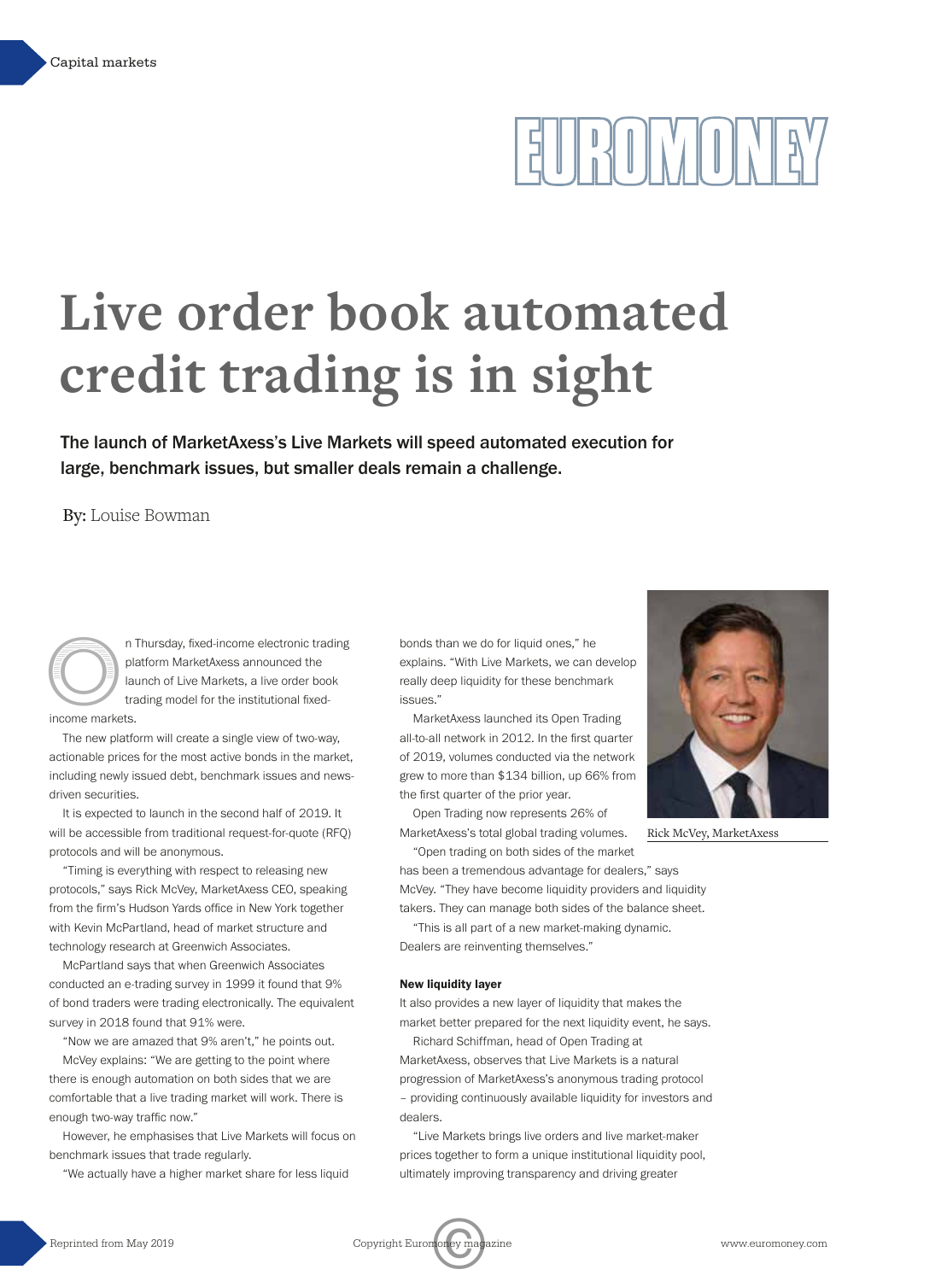## $\frac{1}{2}||\frac{1}{2}||\frac{1}{2}||\frac{1}{2}||\frac{1}{2}||\frac{1}{2}||\frac{1}{2}||\frac{1}{2}||\frac{1}{2}||\frac{1}{2}||\frac{1}{2}||\frac{1}{2}||\frac{1}{2}||\frac{1}{2}||\frac{1}{2}||\frac{1}{2}||\frac{1}{2}||\frac{1}{2}||\frac{1}{2}||\frac{1}{2}||\frac{1}{2}||\frac{1}{2}||\frac{1}{2}||\frac{1}{2}||\frac{1}{2}||\frac{1}{2}||\frac{1}{2}||\frac{1$

### **Live order book automated credit trading is in sight**

The launch of MarketAxess's Live Markets will speed automated execution for large, benchmark issues, but smaller deals remain a challenge.

By: Louise Bowman



n Thursday, fixed-income electronic trading<br>platform MarketAxess announced the<br>launch of Live Markets, a live order book<br>trading model for the institutional fixed-<br>income markets. platform MarketAxess announced the launch of Live Markets, a live order book trading model for the institutional fixedincome markets.

The new platform will create a single view of two-way, actionable prices for the most active bonds in the market, including newly issued debt, benchmark issues and newsdriven securities.

It is expected to launch in the second half of 2019. It will be accessible from traditional request-for-quote (RFQ) protocols and will be anonymous.

"Timing is everything with respect to releasing new protocols," says Rick McVey, MarketAxess CEO, speaking from the firm's Hudson Yards office in New York together with Kevin McPartland, head of market structure and technology research at Greenwich Associates.

McPartland says that when Greenwich Associates conducted an e-trading survey in 1999 it found that 9% of bond traders were trading electronically. The equivalent survey in 2018 found that 91% were.

"Now we are amazed that 9% aren't," he points out. McVey explains: "We are getting to the point where there is enough automation on both sides that we are comfortable that a live trading market will work. There is enough two-way traffic now."

However, he emphasises that Live Markets will focus on benchmark issues that trade regularly.

"We actually have a higher market share for less liquid

bonds than we do for liquid ones," he explains. "With Live Markets, we can develop really deep liquidity for these benchmark issues."

MarketAxess launched its Open Trading all-to-all network in 2012. In the first quarter of 2019, volumes conducted via the network grew to more than \$134 billion, up 66% from the first quarter of the prior year.

Open Trading now represents 26% of MarketAxess's total global trading volumes. "Open trading on both sides of the market



Rick McVey, MarketAxess

has been a tremendous advantage for dealers," says McVey. "They have become liquidity providers and liquidity

takers. They can manage both sides of the balance sheet. "This is all part of a new market-making dynamic. Dealers are reinventing themselves."

### **New liquidity layer**

It also provides a new layer of liquidity that makes the market better prepared for the next liquidity event, he says.

Richard Schiffman, head of Open Trading at MarketAxess, observes that Live Markets is a natural progression of MarketAxess's anonymous trading protocol – providing continuously available liquidity for investors and dealers.

"Live Markets brings live orders and live market-maker prices together to form a unique institutional liquidity pool, ultimately improving transparency and driving greater